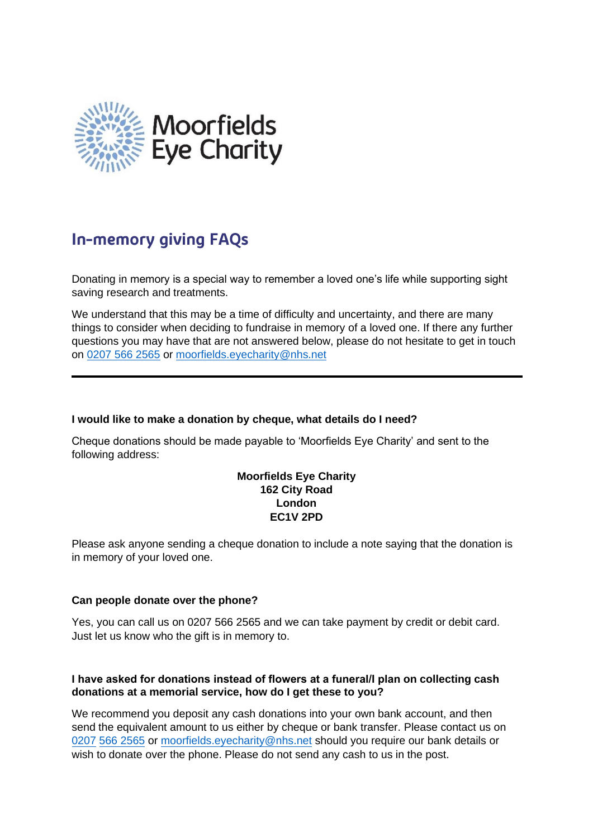

# **In-memory giving FAQs**

Donating in memory is a special way to remember a loved one's life while supporting sight saving research and treatments.

We understand that this may be a time of difficulty and uncertainty, and there are many things to consider when deciding to fundraise in memory of a loved one. If there any further questions you may have that are not answered below, please do not hesitate to get in touch on [0207 566 2565](tel:02075662565) or [moorfields.eyecharity@nhs.net](mailto:moorfields.eyecharity@nhs.net)

#### **I would like to make a donation by cheque, what details do I need?**

Cheque donations should be made payable to 'Moorfields Eye Charity' and sent to the following address:

# **Moorfields Eye Charity 162 City Road London EC1V 2PD**

Please ask anyone sending a cheque donation to include a note saying that the donation is in memory of your loved one.

#### **Can people donate over the phone?**

Yes, you can call us on 0207 566 2565 and we can take payment by credit or debit card. Just let us know who the gift is in memory to.

#### **I have asked for donations instead of flowers at a funeral/I plan on collecting cash donations at a memorial service, how do I get these to you?**

We recommend you deposit any cash donations into your own bank account, and then [send the e](tel:02075662565)quivalent amount to us either by cheque or bank transfer. Please contact us on 0207 566 2565 or [moorfields.eyecharity@nhs.net](mailto:moorfields.eyecharity@nhs.net) should you require our bank details or wish to donate over the phone. Please do not send any cash to us in the post.